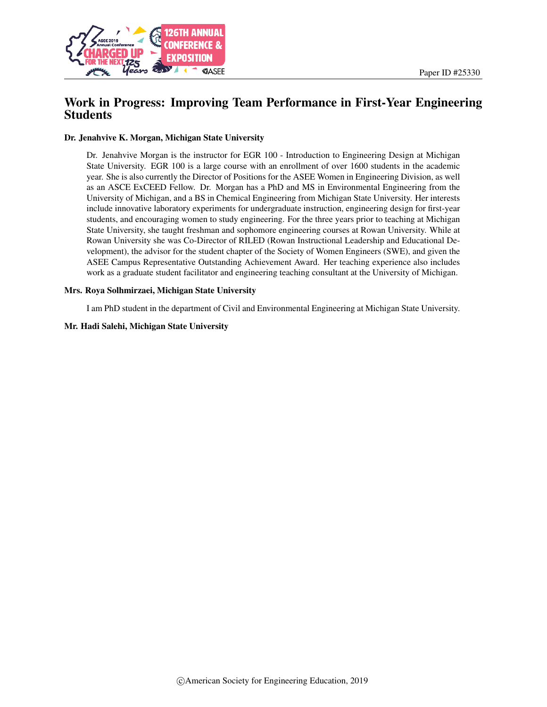

# Work in Progress: Improving Team Performance in First-Year Engineering Students

#### Dr. Jenahvive K. Morgan, Michigan State University

Dr. Jenahvive Morgan is the instructor for EGR 100 - Introduction to Engineering Design at Michigan State University. EGR 100 is a large course with an enrollment of over 1600 students in the academic year. She is also currently the Director of Positions for the ASEE Women in Engineering Division, as well as an ASCE ExCEED Fellow. Dr. Morgan has a PhD and MS in Environmental Engineering from the University of Michigan, and a BS in Chemical Engineering from Michigan State University. Her interests include innovative laboratory experiments for undergraduate instruction, engineering design for first-year students, and encouraging women to study engineering. For the three years prior to teaching at Michigan State University, she taught freshman and sophomore engineering courses at Rowan University. While at Rowan University she was Co-Director of RILED (Rowan Instructional Leadership and Educational Development), the advisor for the student chapter of the Society of Women Engineers (SWE), and given the ASEE Campus Representative Outstanding Achievement Award. Her teaching experience also includes work as a graduate student facilitator and engineering teaching consultant at the University of Michigan.

#### Mrs. Roya Solhmirzaei, Michigan State University

I am PhD student in the department of Civil and Environmental Engineering at Michigan State University.

#### Mr. Hadi Salehi, Michigan State University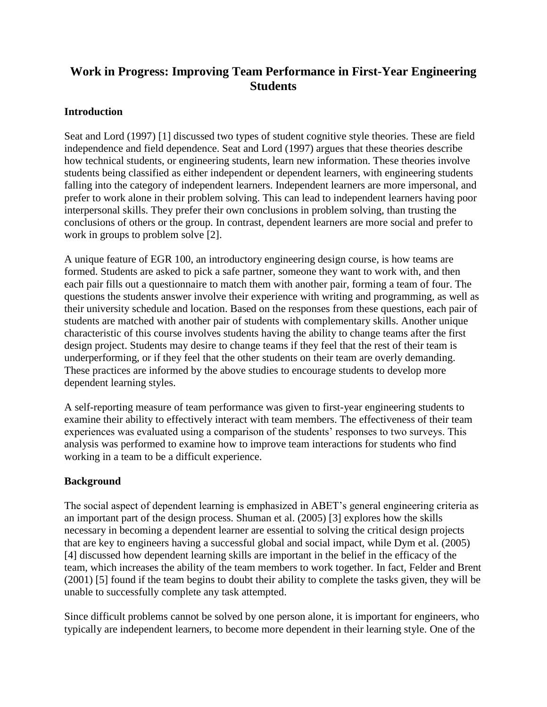# **Work in Progress: Improving Team Performance in First-Year Engineering Students**

### **Introduction**

Seat and Lord (1997) [1] discussed two types of student cognitive style theories. These are field independence and field dependence. Seat and Lord (1997) argues that these theories describe how technical students, or engineering students, learn new information. These theories involve students being classified as either independent or dependent learners, with engineering students falling into the category of independent learners. Independent learners are more impersonal, and prefer to work alone in their problem solving. This can lead to independent learners having poor interpersonal skills. They prefer their own conclusions in problem solving, than trusting the conclusions of others or the group. In contrast, dependent learners are more social and prefer to work in groups to problem solve [2].

A unique feature of EGR 100, an introductory engineering design course, is how teams are formed. Students are asked to pick a safe partner, someone they want to work with, and then each pair fills out a questionnaire to match them with another pair, forming a team of four. The questions the students answer involve their experience with writing and programming, as well as their university schedule and location. Based on the responses from these questions, each pair of students are matched with another pair of students with complementary skills. Another unique characteristic of this course involves students having the ability to change teams after the first design project. Students may desire to change teams if they feel that the rest of their team is underperforming, or if they feel that the other students on their team are overly demanding. These practices are informed by the above studies to encourage students to develop more dependent learning styles.

A self-reporting measure of team performance was given to first-year engineering students to examine their ability to effectively interact with team members. The effectiveness of their team experiences was evaluated using a comparison of the students' responses to two surveys. This analysis was performed to examine how to improve team interactions for students who find working in a team to be a difficult experience.

## **Background**

The social aspect of dependent learning is emphasized in ABET's general engineering criteria as an important part of the design process. Shuman et al. (2005) [3] explores how the skills necessary in becoming a dependent learner are essential to solving the critical design projects that are key to engineers having a successful global and social impact, while Dym et al. (2005) [4] discussed how dependent learning skills are important in the belief in the efficacy of the team, which increases the ability of the team members to work together. In fact, Felder and Brent (2001) [5] found if the team begins to doubt their ability to complete the tasks given, they will be unable to successfully complete any task attempted.

Since difficult problems cannot be solved by one person alone, it is important for engineers, who typically are independent learners, to become more dependent in their learning style. One of the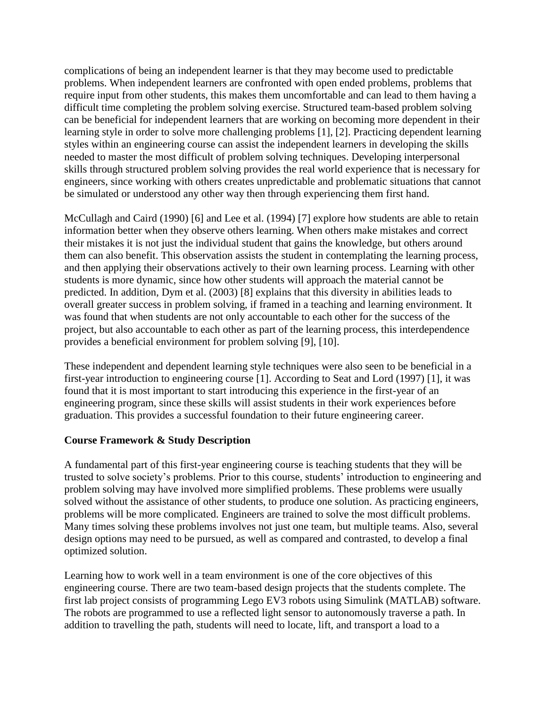complications of being an independent learner is that they may become used to predictable problems. When independent learners are confronted with open ended problems, problems that require input from other students, this makes them uncomfortable and can lead to them having a difficult time completing the problem solving exercise. Structured team-based problem solving can be beneficial for independent learners that are working on becoming more dependent in their learning style in order to solve more challenging problems [1], [2]. Practicing dependent learning styles within an engineering course can assist the independent learners in developing the skills needed to master the most difficult of problem solving techniques. Developing interpersonal skills through structured problem solving provides the real world experience that is necessary for engineers, since working with others creates unpredictable and problematic situations that cannot be simulated or understood any other way then through experiencing them first hand.

McCullagh and Caird (1990) [6] and Lee et al. (1994) [7] explore how students are able to retain information better when they observe others learning. When others make mistakes and correct their mistakes it is not just the individual student that gains the knowledge, but others around them can also benefit. This observation assists the student in contemplating the learning process, and then applying their observations actively to their own learning process. Learning with other students is more dynamic, since how other students will approach the material cannot be predicted. In addition, Dym et al. (2003) [8] explains that this diversity in abilities leads to overall greater success in problem solving, if framed in a teaching and learning environment. It was found that when students are not only accountable to each other for the success of the project, but also accountable to each other as part of the learning process, this interdependence provides a beneficial environment for problem solving [9], [10].

These independent and dependent learning style techniques were also seen to be beneficial in a first-year introduction to engineering course [1]. According to Seat and Lord (1997) [1], it was found that it is most important to start introducing this experience in the first-year of an engineering program, since these skills will assist students in their work experiences before graduation. This provides a successful foundation to their future engineering career.

## **Course Framework & Study Description**

A fundamental part of this first-year engineering course is teaching students that they will be trusted to solve society's problems. Prior to this course, students' introduction to engineering and problem solving may have involved more simplified problems. These problems were usually solved without the assistance of other students, to produce one solution. As practicing engineers, problems will be more complicated. Engineers are trained to solve the most difficult problems. Many times solving these problems involves not just one team, but multiple teams. Also, several design options may need to be pursued, as well as compared and contrasted, to develop a final optimized solution.

Learning how to work well in a team environment is one of the core objectives of this engineering course. There are two team-based design projects that the students complete. The first lab project consists of programming Lego EV3 robots using Simulink (MATLAB) software. The robots are programmed to use a reflected light sensor to autonomously traverse a path. In addition to travelling the path, students will need to locate, lift, and transport a load to a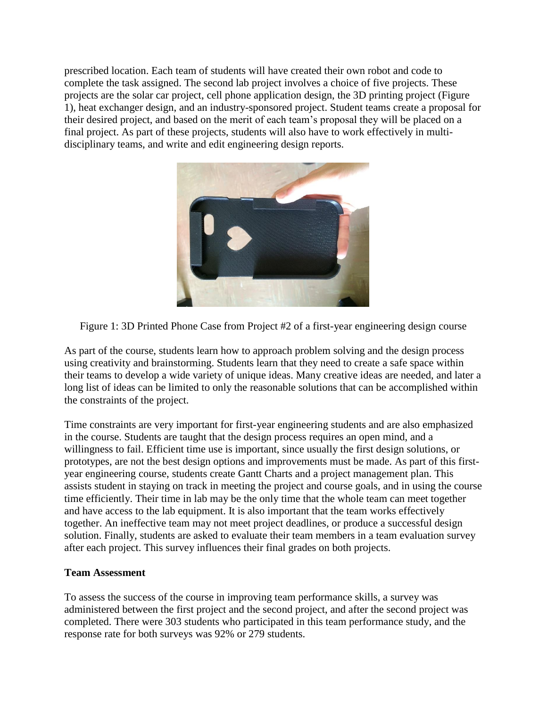prescribed location. Each team of students will have created their own robot and code to complete the task assigned. The second lab project involves a choice of five projects. These projects are the solar car project, cell phone application design, the 3D printing project (Figure 1), heat exchanger design, and an industry-sponsored project. Student teams create a proposal for their desired project, and based on the merit of each team's proposal they will be placed on a final project. As part of these projects, students will also have to work effectively in multidisciplinary teams, and write and edit engineering design reports.



Figure 1: 3D Printed Phone Case from Project #2 of a first-year engineering design course

As part of the course, students learn how to approach problem solving and the design process using creativity and brainstorming. Students learn that they need to create a safe space within their teams to develop a wide variety of unique ideas. Many creative ideas are needed, and later a long list of ideas can be limited to only the reasonable solutions that can be accomplished within the constraints of the project.

Time constraints are very important for first-year engineering students and are also emphasized in the course. Students are taught that the design process requires an open mind, and a willingness to fail. Efficient time use is important, since usually the first design solutions, or prototypes, are not the best design options and improvements must be made. As part of this firstyear engineering course, students create Gantt Charts and a project management plan. This assists student in staying on track in meeting the project and course goals, and in using the course time efficiently. Their time in lab may be the only time that the whole team can meet together and have access to the lab equipment. It is also important that the team works effectively together. An ineffective team may not meet project deadlines, or produce a successful design solution. Finally, students are asked to evaluate their team members in a team evaluation survey after each project. This survey influences their final grades on both projects.

#### **Team Assessment**

To assess the success of the course in improving team performance skills, a survey was administered between the first project and the second project, and after the second project was completed. There were 303 students who participated in this team performance study, and the response rate for both surveys was 92% or 279 students.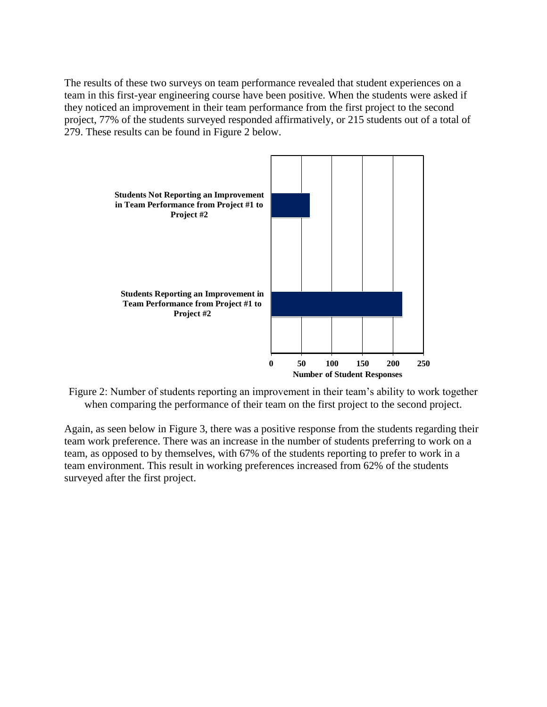The results of these two surveys on team performance revealed that student experiences on a team in this first-year engineering course have been positive. When the students were asked if they noticed an improvement in their team performance from the first project to the second project, 77% of the students surveyed responded affirmatively, or 215 students out of a total of 279. These results can be found in Figure 2 below.



Figure 2: Number of students reporting an improvement in their team's ability to work together when comparing the performance of their team on the first project to the second project.

Again, as seen below in Figure 3, there was a positive response from the students regarding their team work preference. There was an increase in the number of students preferring to work on a team, as opposed to by themselves, with 67% of the students reporting to prefer to work in a team environment. This result in working preferences increased from 62% of the students surveyed after the first project.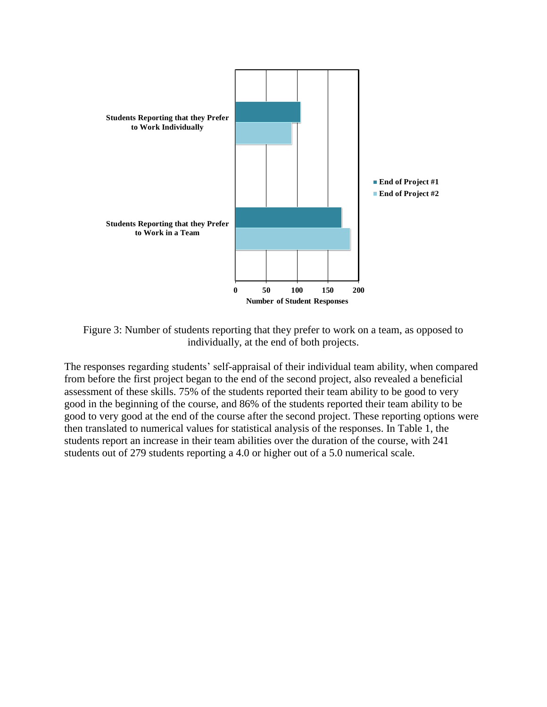

Figure 3: Number of students reporting that they prefer to work on a team, as opposed to individually, at the end of both projects.

The responses regarding students' self-appraisal of their individual team ability, when compared from before the first project began to the end of the second project, also revealed a beneficial assessment of these skills. 75% of the students reported their team ability to be good to very good in the beginning of the course, and 86% of the students reported their team ability to be good to very good at the end of the course after the second project. These reporting options were then translated to numerical values for statistical analysis of the responses. In Table 1, the students report an increase in their team abilities over the duration of the course, with 241 students out of 279 students reporting a 4.0 or higher out of a 5.0 numerical scale.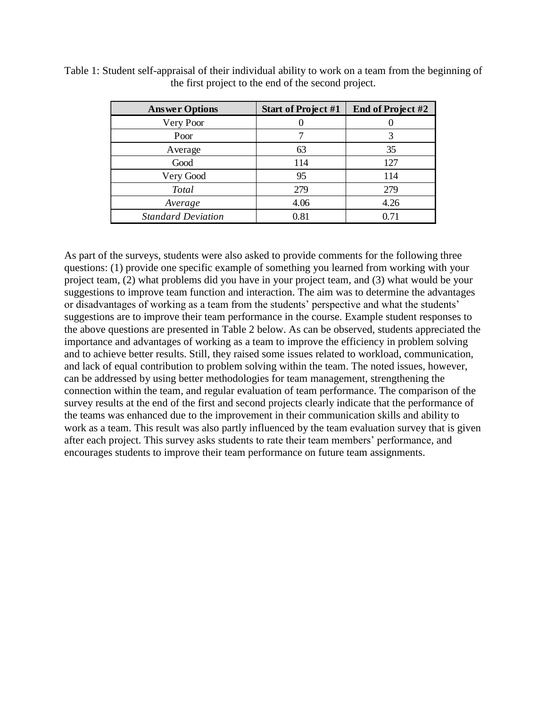| <b>Answer Options</b>     | <b>Start of Project #1</b> | End of Project #2 |
|---------------------------|----------------------------|-------------------|
| Very Poor                 |                            |                   |
| Poor                      |                            |                   |
| Average                   | 63                         | 35                |
| Good                      | 114                        | 127               |
| Very Good                 | 95                         | 114               |
| Total                     | 279                        | 279               |
| Average                   | 4.06                       | 4.26              |
| <b>Standard Deviation</b> | 0.81                       | በ 71              |

Table 1: Student self-appraisal of their individual ability to work on a team from the beginning of the first project to the end of the second project.

As part of the surveys, students were also asked to provide comments for the following three questions: (1) provide one specific example of something you learned from working with your project team, (2) what problems did you have in your project team, and (3) what would be your suggestions to improve team function and interaction. The aim was to determine the advantages or disadvantages of working as a team from the students' perspective and what the students' suggestions are to improve their team performance in the course. Example student responses to the above questions are presented in Table 2 below. As can be observed, students appreciated the importance and advantages of working as a team to improve the efficiency in problem solving and to achieve better results. Still, they raised some issues related to workload, communication, and lack of equal contribution to problem solving within the team. The noted issues, however, can be addressed by using better methodologies for team management, strengthening the connection within the team, and regular evaluation of team performance. The comparison of the survey results at the end of the first and second projects clearly indicate that the performance of the teams was enhanced due to the improvement in their communication skills and ability to work as a team. This result was also partly influenced by the team evaluation survey that is given after each project. This survey asks students to rate their team members' performance, and encourages students to improve their team performance on future team assignments.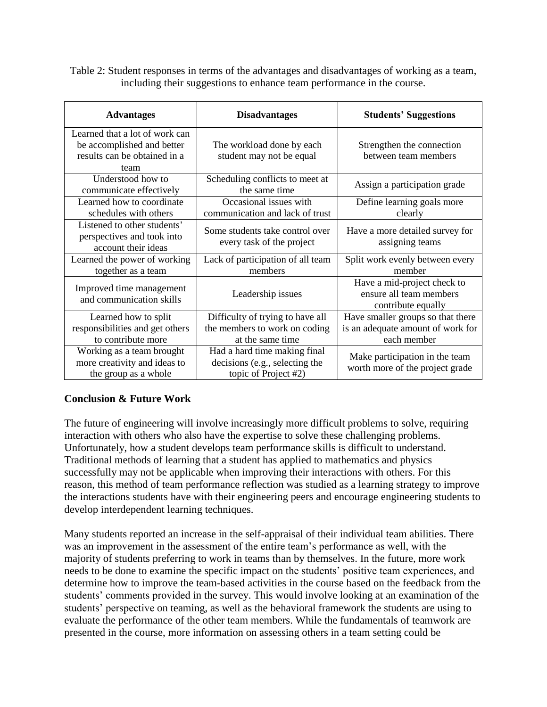Table 2: Student responses in terms of the advantages and disadvantages of working as a team, including their suggestions to enhance team performance in the course.

| <b>Advantages</b>                                                                                    | <b>Disadvantages</b>                                                                   | <b>Students' Suggestions</b>                                                          |
|------------------------------------------------------------------------------------------------------|----------------------------------------------------------------------------------------|---------------------------------------------------------------------------------------|
| Learned that a lot of work can<br>be accomplished and better<br>results can be obtained in a<br>team | The workload done by each<br>student may not be equal                                  | Strengthen the connection<br>between team members                                     |
| Understood how to<br>communicate effectively                                                         | Scheduling conflicts to meet at<br>the same time                                       | Assign a participation grade                                                          |
| Learned how to coordinate<br>schedules with others                                                   | Occasional issues with<br>communication and lack of trust                              | Define learning goals more<br>clearly                                                 |
| Listened to other students'<br>perspectives and took into<br>account their ideas                     | Some students take control over<br>every task of the project                           | Have a more detailed survey for<br>assigning teams                                    |
| Learned the power of working<br>together as a team                                                   | Lack of participation of all team<br>members                                           | Split work evenly between every<br>member                                             |
| Improved time management<br>and communication skills                                                 | Leadership issues                                                                      | Have a mid-project check to<br>ensure all team members<br>contribute equally          |
| Learned how to split<br>responsibilities and get others<br>to contribute more                        | Difficulty of trying to have all<br>the members to work on coding<br>at the same time  | Have smaller groups so that there<br>is an adequate amount of work for<br>each member |
| Working as a team brought<br>more creativity and ideas to<br>the group as a whole                    | Had a hard time making final<br>decisions (e.g., selecting the<br>topic of Project #2) | Make participation in the team<br>worth more of the project grade                     |

## **Conclusion & Future Work**

The future of engineering will involve increasingly more difficult problems to solve, requiring interaction with others who also have the expertise to solve these challenging problems. Unfortunately, how a student develops team performance skills is difficult to understand. Traditional methods of learning that a student has applied to mathematics and physics successfully may not be applicable when improving their interactions with others. For this reason, this method of team performance reflection was studied as a learning strategy to improve the interactions students have with their engineering peers and encourage engineering students to develop interdependent learning techniques.

Many students reported an increase in the self-appraisal of their individual team abilities. There was an improvement in the assessment of the entire team's performance as well, with the majority of students preferring to work in teams than by themselves. In the future, more work needs to be done to examine the specific impact on the students' positive team experiences, and determine how to improve the team-based activities in the course based on the feedback from the students' comments provided in the survey. This would involve looking at an examination of the students' perspective on teaming, as well as the behavioral framework the students are using to evaluate the performance of the other team members. While the fundamentals of teamwork are presented in the course, more information on assessing others in a team setting could be